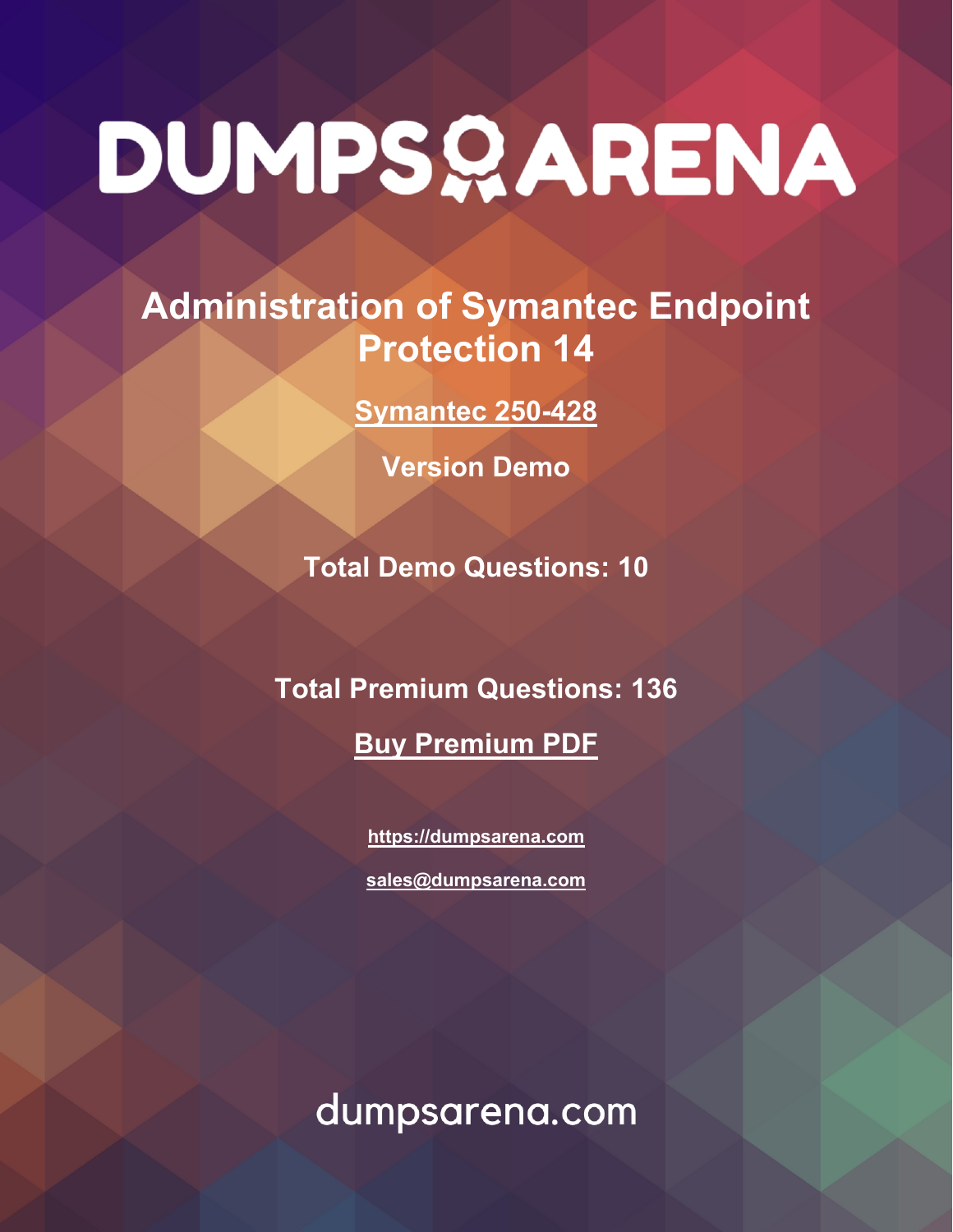# DUMPSQARENA

# **Administration of Symantec Endpoint Protection 14**

**[Symantec 250-428](https://dumpsarena.com/exam/250-428/)**

**Version Demo**

**Total Demo Questions: 10**

**Total Premium Questions: 136**

**[Buy Premium PDF](https://dumpsarena.com/exam/250-428/)**

**[https://dumpsarena.com](https://dumpsarena.com/) [sales@dumpsarena.com](mailto:sales@dumpsarena.com)**

dumpsarena.com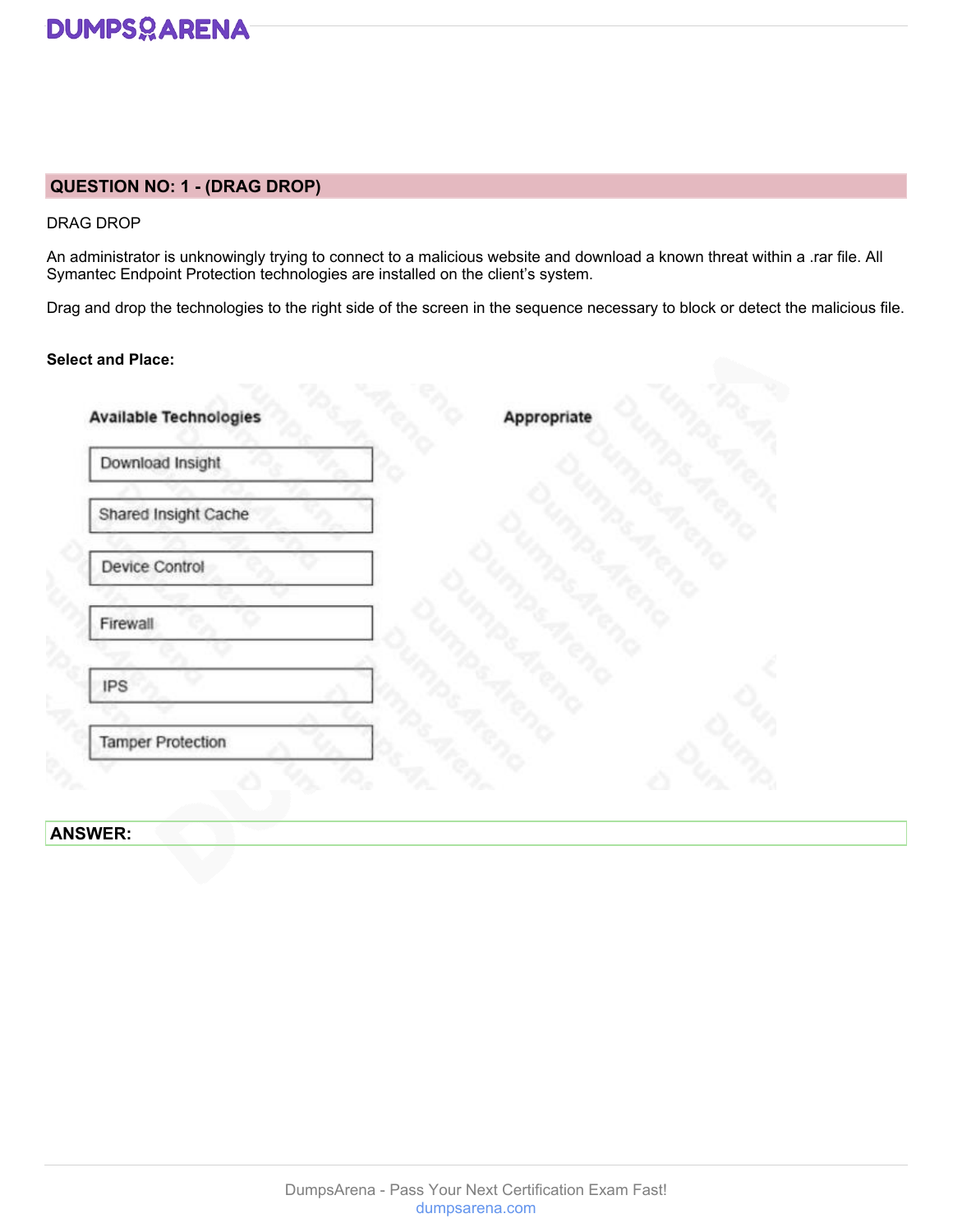

# **QUESTION NO: 1 - (DRAG DROP)**

DRAG DROP

An administrator is unknowingly trying to connect to a malicious website and download a known threat within a .rar file. All Symantec Endpoint Protection technologies are installed on the client's system.

Drag and drop the technologies to the right side of the screen in the sequence necessary to block or detect the malicious file.

# **Select and Place:**

| Download Insight         |  |  |
|--------------------------|--|--|
| Shared Insight Cache     |  |  |
| Device Control           |  |  |
| Firewall                 |  |  |
| <b>IPS</b>               |  |  |
| <b>Tamper Protection</b> |  |  |

# **ANSWER:**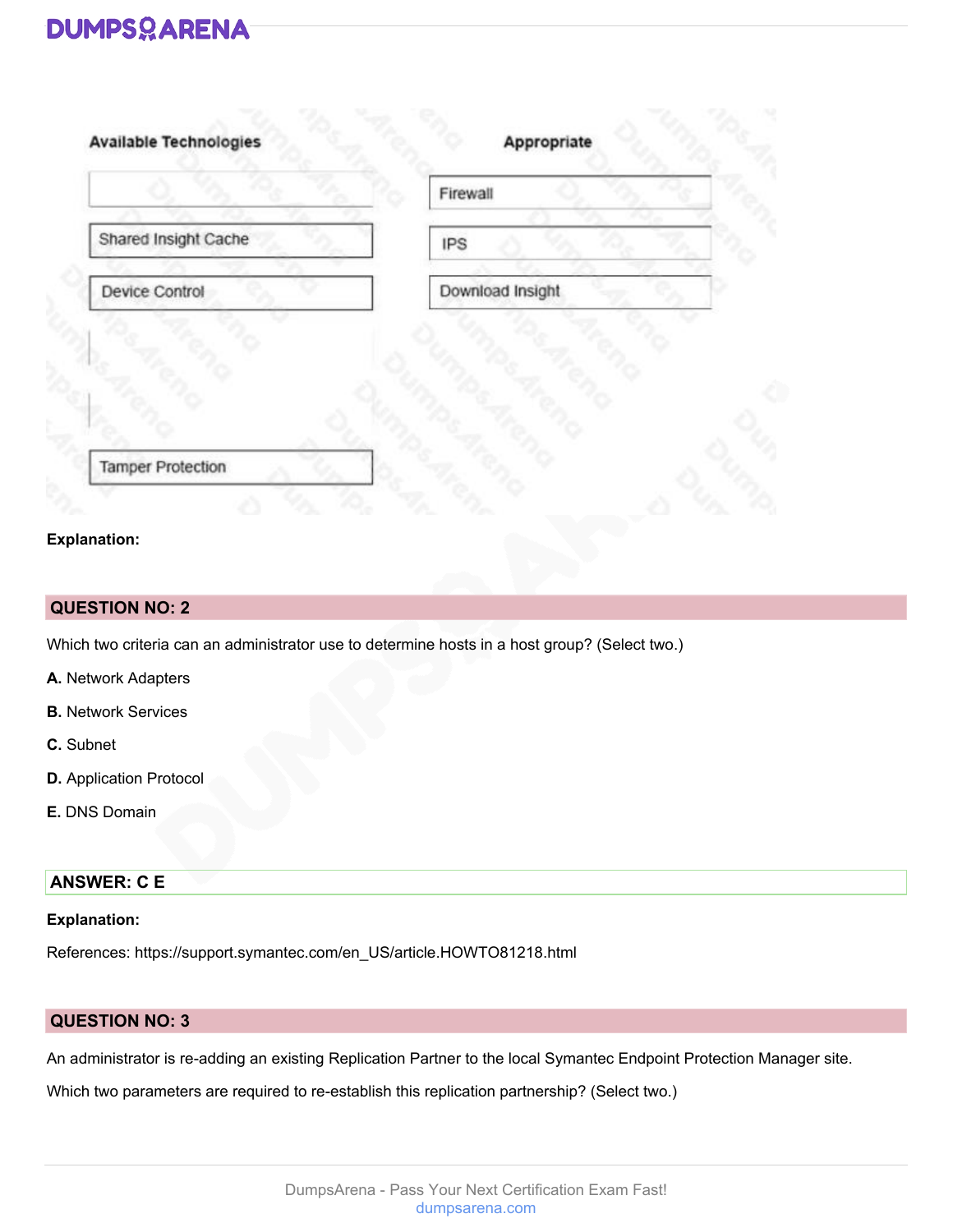# **DUMPSOARENA**

|                      | Firewall         |
|----------------------|------------------|
| Shared Insight Cache | <b>IPS</b>       |
| Device Control       | Download Insight |
|                      |                  |
|                      |                  |
|                      |                  |
|                      |                  |

# **Explanation:**

# **QUESTION NO: 2**

Which two criteria can an administrator use to determine hosts in a host group? (Select two.)

- **A.** Network Adapters
- **B.** Network Services
- **C.** Subnet
- **D.** Application Protocol
- **E.** DNS Domain

# **ANSWER: C E**

# **Explanation:**

References: https://support.symantec.com/en\_US/article.HOWTO81218.html

# **QUESTION NO: 3**

An administrator is re-adding an existing Replication Partner to the local Symantec Endpoint Protection Manager site.

Which two parameters are required to re-establish this replication partnership? (Select two.)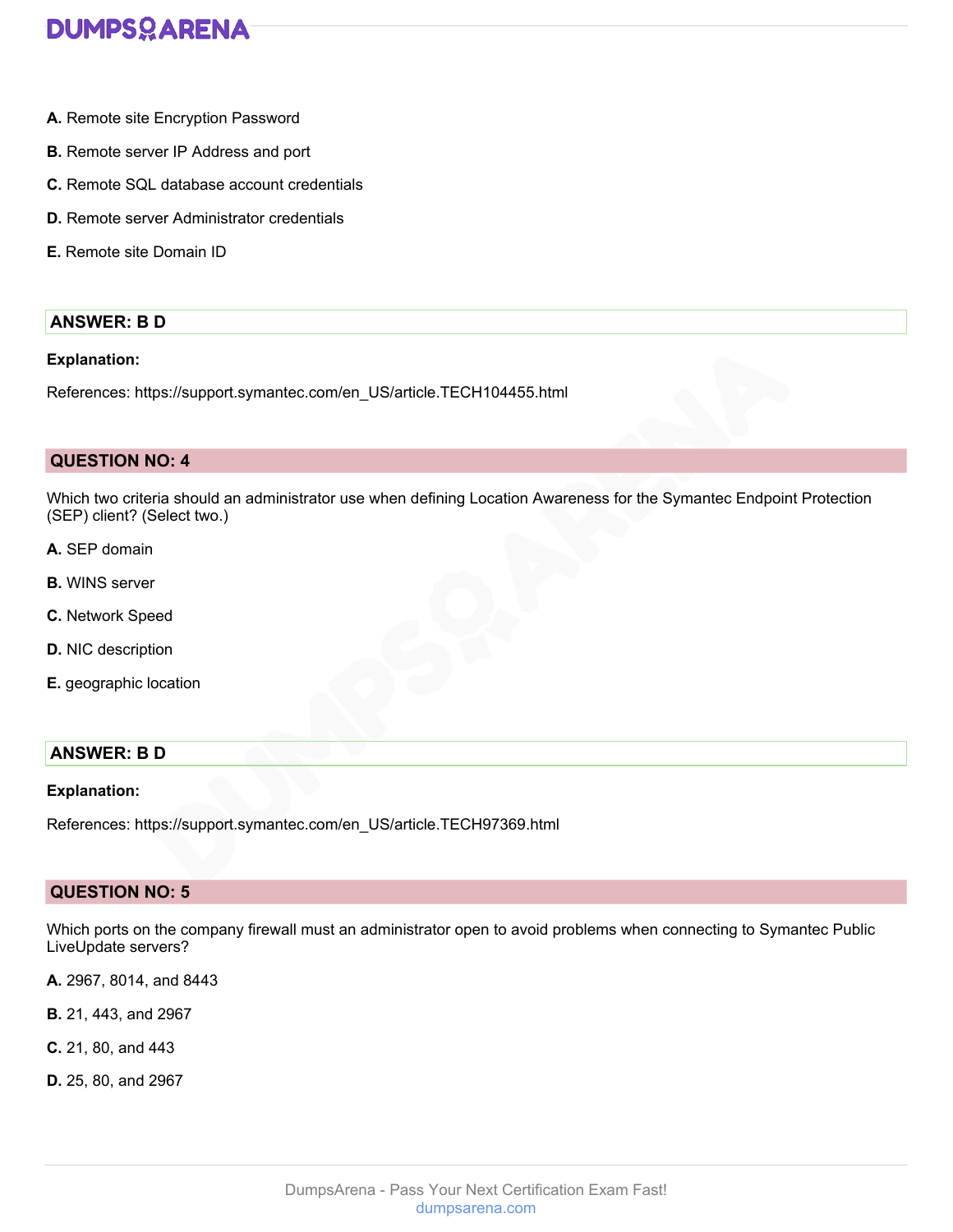

- **A.** Remote site Encryption Password
- **B.** Remote server IP Address and port
- **C.** Remote SQL database account credentials
- **D.** Remote server Administrator credentials
- **E.** Remote site Domain ID

# **ANSWER: B D**

## **Explanation:**

References: https://support.symantec.com/en\_US/article.TECH104455.html

### **QUESTION NO: 4**

Which two criteria should an administrator use when defining Location Awareness for the Symantec Endpoint Protection (SEP) client? (Select two.)

- **A.** SEP domain
- **B.** WINS server
- **C.** Network Speed
- **D.** NIC description
- **E.** geographic location

# **ANSWER: B D**

### **Explanation:**

References: https://support.symantec.com/en\_US/article.TECH97369.html

# **QUESTION NO: 5**

Which ports on the company firewall must an administrator open to avoid problems when connecting to Symantec Public LiveUpdate servers?

- **A.** 2967, 8014, and 8443
- **B.** 21, 443, and 2967
- **C.** 21, 80, and 443
- **D.** 25, 80, and 2967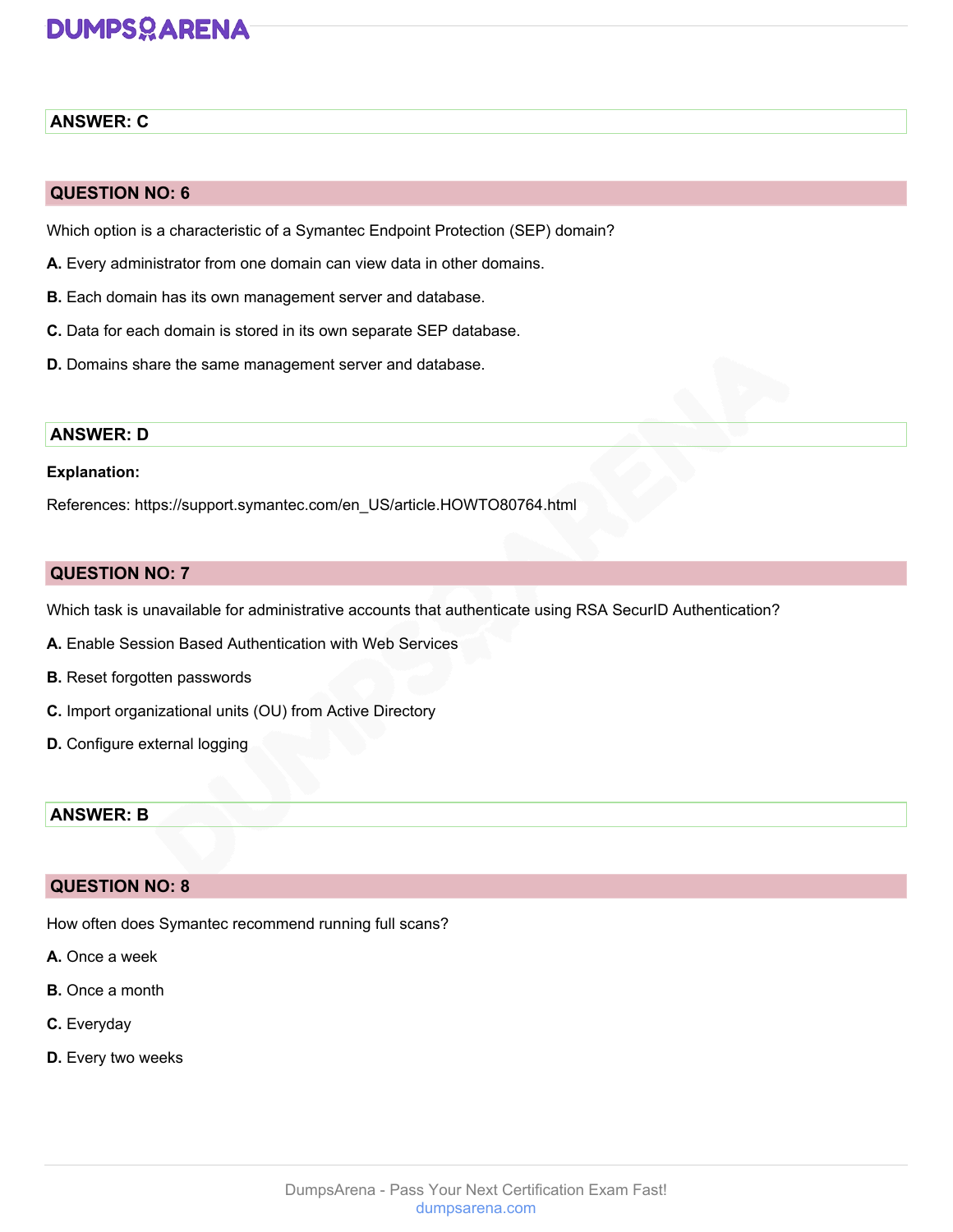# **DUMPSOARENA**

# **ANSWER: C**

# **QUESTION NO: 6**

Which option is a characteristic of a Symantec Endpoint Protection (SEP) domain?

- **A.** Every administrator from one domain can view data in other domains.
- **B.** Each domain has its own management server and database.
- **C.** Data for each domain is stored in its own separate SEP database.
- **D.** Domains share the same management server and database.

# **ANSWER: D**

### **Explanation:**

References: https://support.symantec.com/en\_US/article.HOWTO80764.html

# **QUESTION NO: 7**

Which task is unavailable for administrative accounts that authenticate using RSA SecurID Authentication?

- **A.** Enable Session Based Authentication with Web Services
- **B.** Reset forgotten passwords
- **C.** Import organizational units (OU) from Active Directory
- **D.** Configure external logging

# **ANSWER: B**

# **QUESTION NO: 8**

How often does Symantec recommend running full scans?

- **A.** Once a week
- **B.** Once a month
- **C.** Everyday
- **D.** Every two weeks